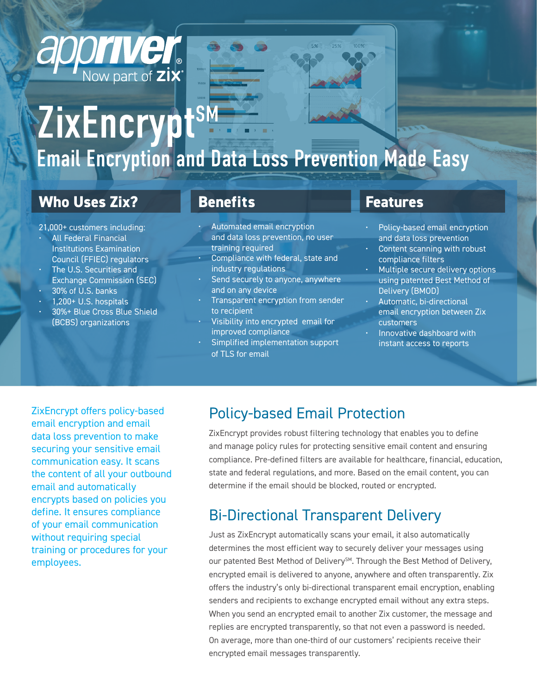# ZixEncrypt<sup>sM</sup> Email Encryption and Data Loss Prevention Made Easy

 $5%$ 

### **Who Uses Zix?**

apprivel

Now part of  $\overline{z}$ ix

#### 21,000+ customers including:

- All Federal Financial Institutions Examination Council (FFIEC) regulators
- The U.S. Securities and Exchange Commission (SEC)
- 30% of U.S. banks
- 1,200+ U.S. hospitals
- 30%+ Blue Cross Blue Shield (BCBS) organizations

#### **Benefits**

- Automated email encryption and data loss prevention, no user training required
- Compliance with federal, state and industry regulations
- Send securely to anyone, anywhere and on any device
- Transparent encryption from sender to recipient
- Visibility into encrypted email for improved compliance
- Simplified implementation support of TLS for email

#### **Features**

- Policy-based email encryption and data loss prevention
- Content scanning with robust compliance filters
- Multiple secure delivery options using patented Best Method of Delivery (BMOD)
- Automatic, bi-directional email encryption between Zix customers
- Innovative dashboard with instant access to reports

ZixEncrypt offers policy-based email encryption and email data loss prevention to make securing your sensitive email communication easy. It scans the content of all your outbound email and automatically encrypts based on policies you define. It ensures compliance of your email communication without requiring special training or procedures for your employees.

#### Policy-based Email Protection

ZixEncrypt provides robust filtering technology that enables you to define and manage policy rules for protecting sensitive email content and ensuring compliance. Pre-defined filters are available for healthcare, financial, education, state and federal regulations, and more. Based on the email content, you can determine if the email should be blocked, routed or encrypted.

#### Bi-Directional Transparent Delivery

Just as ZixEncrypt automatically scans your email, it also automatically determines the most efficient way to securely deliver your messages using our patented Best Method of Delivery<sup>SM</sup>. Through the Best Method of Delivery, encrypted email is delivered to anyone, anywhere and often transparently. Zix offers the industry's only bi-directional transparent email encryption, enabling senders and recipients to exchange encrypted email without any extra steps. When you send an encrypted email to another Zix customer, the message and replies are encrypted transparently, so that not even a password is needed. On average, more than one-third of our customers' recipients receive their encrypted email messages transparently.